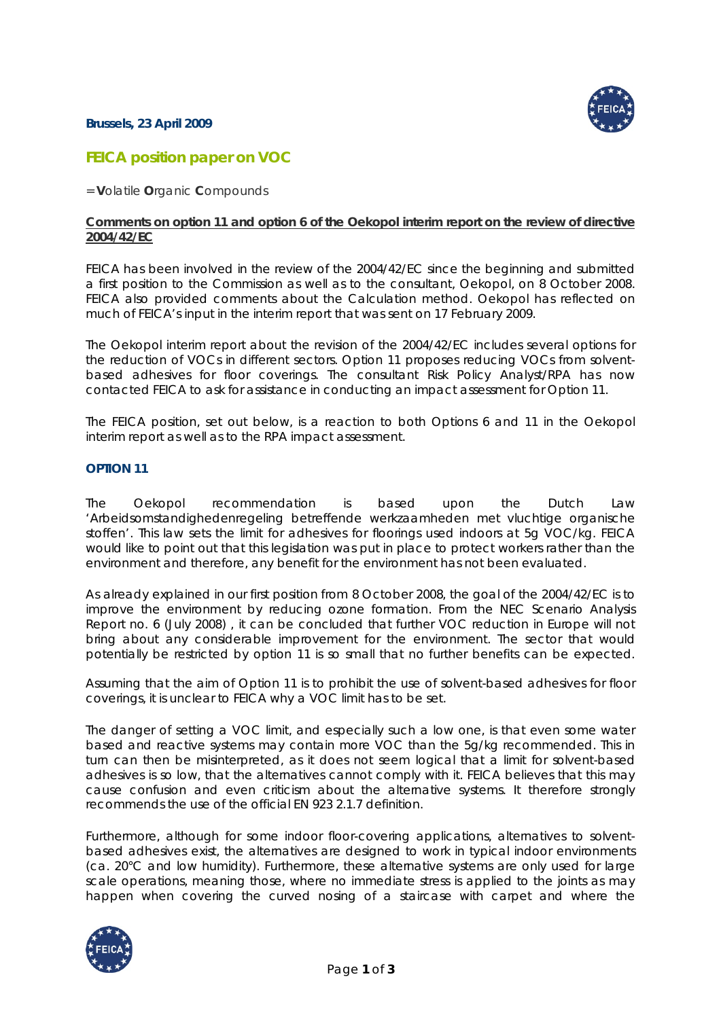## **Brussels, 23 April 2009**



# **FEICA position paper on VOC**

= **V**olatile **O**rganic **C**ompounds

#### **Comments on option 11 and option 6 of the Oekopol interim report on the review of directive 2004/42/EC**

FEICA has been involved in the review of the 2004/42/EC since the beginning and submitted a first position to the Commission as well as to the consultant, Oekopol, on 8 October 2008. FEICA also provided comments about the Calculation method. Oekopol has reflected on much of FEICA's input in the interim report that was sent on 17 February 2009.

The Oekopol interim report about the revision of the 2004/42/EC includes several options for the reduction of VOCs in different sectors. Option 11 proposes reducing VOCs from solventbased adhesives for floor coverings. The consultant Risk Policy Analyst/RPA has now contacted FEICA to ask for assistance in conducting an impact assessment for Option 11.

The FEICA position, set out below, is a reaction to both Options 6 and 11 in the Oekopol interim report as well as to the RPA impact assessment.

# **OPTION 11**

The Oekopol recommendation is based upon the Dutch Law 'Arbeidsomstandighedenregeling betreffende werkzaamheden met vluchtige organische stoffen'. This law sets the limit for adhesives for floorings used indoors at 5g VOC/kg. FEICA would like to point out that this legislation was put in place to protect workers rather than the environment and therefore, any benefit for the environment has not been evaluated.

*As already explained in our first position from 8 October 2008, the goal of the 2004/42/EC is to improve the environment by reducing ozone formation. From the NEC Scenario Analysis Report no. 6 (July 2008) , it can be concluded that further VOC reduction in Europe will not bring about any considerable improvement for the environment. The sector that would potentially be restricted by option 11 is so small that no further benefits can be expected.*

Assuming that the aim of Option 11 is to prohibit the use of solvent-based adhesives for floor coverings, it is unclear to FEICA why a VOC limit has to be set.

The danger of setting a VOC limit, and especially such a low one, is that even some water based and reactive systems may contain more VOC than the 5g/kg recommended. This in turn can then be misinterpreted, as it does not seem logical that a limit for solvent-based adhesives is so low, that the alternatives cannot comply with it. FEICA believes that this may cause confusion and even criticism about the alternative systems. It therefore strongly recommends the use of the official EN 923 2.1.7 definition.

Furthermore, although for some indoor floor-covering applications, alternatives to solventbased adhesives exist, the alternatives are designed to work in typical indoor environments (ca. 20°C and low humidity). Furthermore, these alternative systems are only used for large scale operations, meaning those, where no immediate stress is applied to the joints as may happen when covering the curved nosing of a staircase with carpet and where the

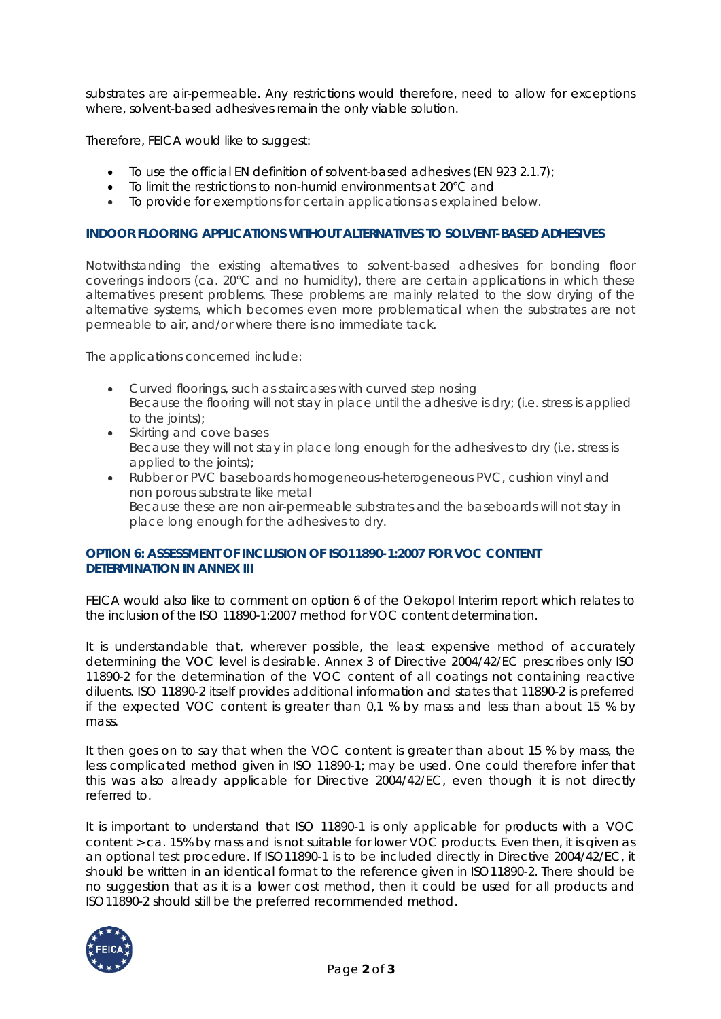substrates are air-permeable. Any restrictions would therefore, need to allow for exceptions where, solvent-based adhesives remain the only viable solution.

Therefore, FEICA would like to suggest:

- To use the official EN definition of solvent-based adhesives (EN 923 2.1.7);
- To limit the restrictions to non-humid environments at 20°C and
- To provide for exemptions for certain applications as explained below.

#### **INDOOR FLOORING APPLICATIONS WITHOUT ALTERNATIVES TO SOLVENT-BASED ADHESIVES**

Notwithstanding the existing alternatives to solvent-based adhesives for bonding floor coverings indoors (ca. 20°C and no humidity), there are certain applications in which these alternatives present problems. These problems are mainly related to the slow drying of the alternative systems, which becomes even more problematical when the substrates are not permeable to air, and/or where there is no immediate tack.

The applications concerned include:

- Curved floorings, such as staircases with curved step nosing Because the flooring will not stay in place until the adhesive is dry; (i.e. stress is applied to the joints):
- Skirting and cove bases Because they will not stay in place long enough for the adhesives to dry (i.e. stress is applied to the joints);
- Rubber or PVC baseboards homogeneous-heterogeneous PVC, cushion vinyl and non porous substrate like metal Because these are non air-permeable substrates and the baseboards will not stay in place long enough for the adhesives to dry.

# **OPTION 6: ASSESSMENT OF INCLUSION OF ISO11890-1:2007 FOR VOC CONTENT DETERMINATION IN ANNEX III**

FEICA would also like to comment on option 6 of the Oekopol Interim report which relates to the inclusion of the ISO 11890-1:2007 method for VOC content determination.

It is understandable that, wherever possible, the least expensive method of accurately determining the VOC level is desirable. Annex 3 of Directive 2004/42/EC prescribes only ISO 11890-2 for the determination of the VOC content of all coatings not containing reactive diluents. ISO 11890-2 itself provides additional information and states that 11890-2 is preferred if the expected VOC content is greater than 0,1 % by mass and less than about 15 % by mass.

It then goes on to say that when the VOC content is greater than about 15 % by mass, the less complicated method given in ISO 11890-1; may be used. One could therefore infer that this was also already applicable for Directive 2004/42/EC, even though it is not directly referred to.

It is important to understand that ISO 11890-1 is only applicable for products with a VOC content > ca. 15% by mass and is not suitable for lower VOC products. Even then, it is given as an optional test procedure. If ISO11890-1 is to be included directly in Directive 2004/42/EC, it should be written in an identical format to the reference given in ISO11890-2. There should be no suggestion that as it is a lower cost method, then it could be used for all products and ISO11890-2 should still be the preferred recommended method.